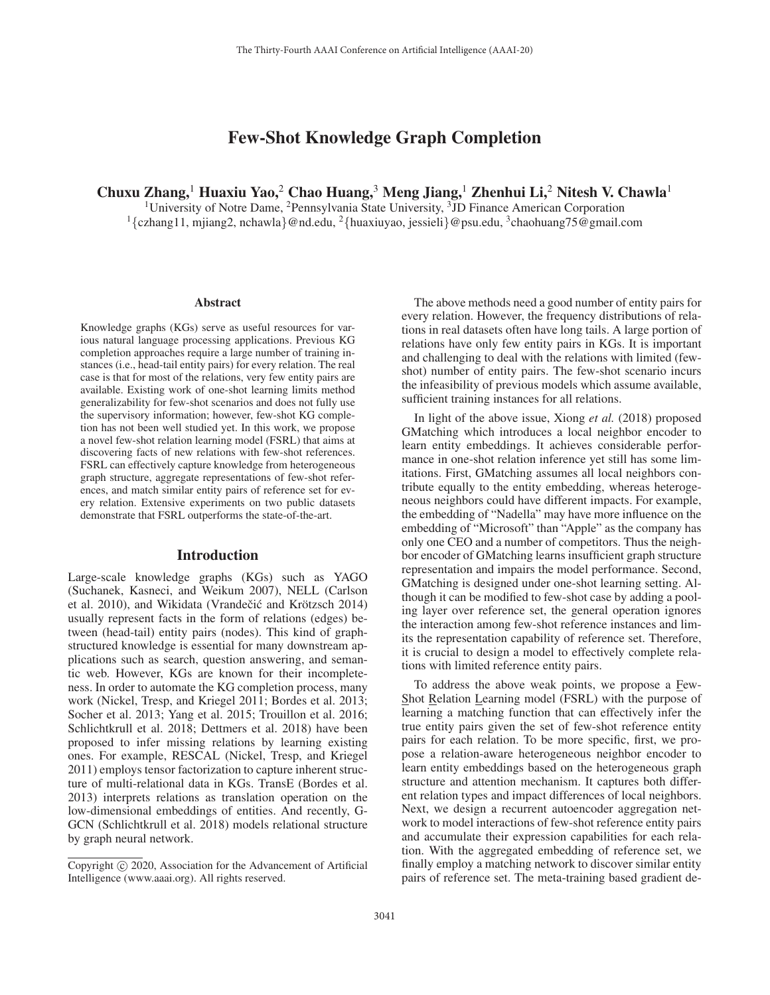# Few-Shot Knowledge Graph Completion

# Chuxu Zhang,<sup>1</sup> Huaxiu Yao,<sup>2</sup> Chao Huang,<sup>3</sup> Meng Jiang,<sup>1</sup> Zhenhui Li,<sup>2</sup> Nitesh V. Chawla<sup>1</sup>

<sup>1</sup>University of Notre Dame, <sup>2</sup>Pennsylvania State University, <sup>3</sup>JD Finance American Corporation <sup>1</sup>{czhang11, mjiang2, nchawla}@nd.edu, <sup>2</sup>{huaxiuyao, jessieli}@psu.edu, <sup>3</sup>chaohuang75@gmail.com

#### Abstract

Knowledge graphs (KGs) serve as useful resources for various natural language processing applications. Previous KG completion approaches require a large number of training instances (i.e., head-tail entity pairs) for every relation. The real case is that for most of the relations, very few entity pairs are available. Existing work of one-shot learning limits method generalizability for few-shot scenarios and does not fully use the supervisory information; however, few-shot KG completion has not been well studied yet. In this work, we propose a novel few-shot relation learning model (FSRL) that aims at discovering facts of new relations with few-shot references. FSRL can effectively capture knowledge from heterogeneous graph structure, aggregate representations of few-shot references, and match similar entity pairs of reference set for every relation. Extensive experiments on two public datasets demonstrate that FSRL outperforms the state-of-the-art.

#### Introduction

Large-scale knowledge graphs (KGs) such as YAGO (Suchanek, Kasneci, and Weikum 2007), NELL (Carlson et al. 2010), and Wikidata (Vrandečić and Krötzsch 2014) usually represent facts in the form of relations (edges) between (head-tail) entity pairs (nodes). This kind of graphstructured knowledge is essential for many downstream applications such as search, question answering, and semantic web. However, KGs are known for their incompleteness. In order to automate the KG completion process, many work (Nickel, Tresp, and Kriegel 2011; Bordes et al. 2013; Socher et al. 2013; Yang et al. 2015; Trouillon et al. 2016; Schlichtkrull et al. 2018; Dettmers et al. 2018) have been proposed to infer missing relations by learning existing ones. For example, RESCAL (Nickel, Tresp, and Kriegel 2011) employs tensor factorization to capture inherent structure of multi-relational data in KGs. TransE (Bordes et al. 2013) interprets relations as translation operation on the low-dimensional embeddings of entities. And recently, G-GCN (Schlichtkrull et al. 2018) models relational structure by graph neural network.

The above methods need a good number of entity pairs for every relation. However, the frequency distributions of relations in real datasets often have long tails. A large portion of relations have only few entity pairs in KGs. It is important and challenging to deal with the relations with limited (fewshot) number of entity pairs. The few-shot scenario incurs the infeasibility of previous models which assume available, sufficient training instances for all relations.

In light of the above issue, Xiong *et al.* (2018) proposed GMatching which introduces a local neighbor encoder to learn entity embeddings. It achieves considerable performance in one-shot relation inference yet still has some limitations. First, GMatching assumes all local neighbors contribute equally to the entity embedding, whereas heterogeneous neighbors could have different impacts. For example, the embedding of "Nadella" may have more influence on the embedding of "Microsoft" than "Apple" as the company has only one CEO and a number of competitors. Thus the neighbor encoder of GMatching learns insufficient graph structure representation and impairs the model performance. Second, GMatching is designed under one-shot learning setting. Although it can be modified to few-shot case by adding a pooling layer over reference set, the general operation ignores the interaction among few-shot reference instances and limits the representation capability of reference set. Therefore, it is crucial to design a model to effectively complete relations with limited reference entity pairs.

To address the above weak points, we propose a Few-Shot Relation Learning model (FSRL) with the purpose of learning a matching function that can effectively infer the true entity pairs given the set of few-shot reference entity pairs for each relation. To be more specific, first, we propose a relation-aware heterogeneous neighbor encoder to learn entity embeddings based on the heterogeneous graph structure and attention mechanism. It captures both different relation types and impact differences of local neighbors. Next, we design a recurrent autoencoder aggregation network to model interactions of few-shot reference entity pairs and accumulate their expression capabilities for each relation. With the aggregated embedding of reference set, we finally employ a matching network to discover similar entity pairs of reference set. The meta-training based gradient de-

Copyright  $\odot$  2020, Association for the Advancement of Artificial Intelligence (www.aaai.org). All rights reserved.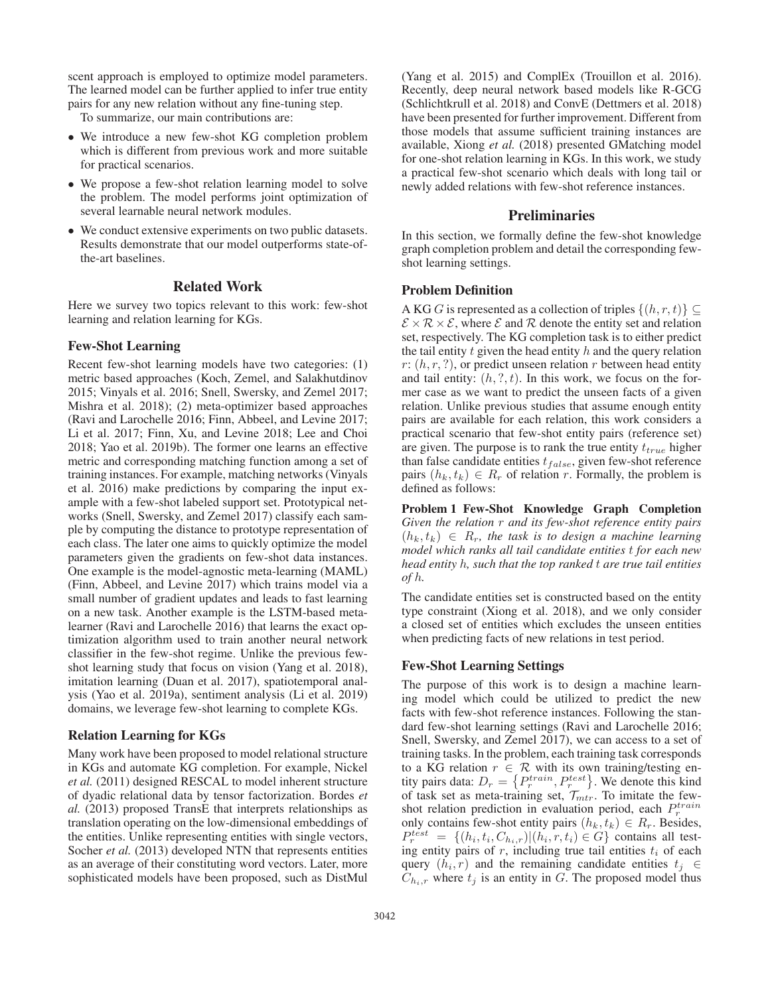scent approach is employed to optimize model parameters. The learned model can be further applied to infer true entity pairs for any new relation without any fine-tuning step.

To summarize, our main contributions are:

- We introduce a new few-shot KG completion problem which is different from previous work and more suitable for practical scenarios.
- We propose a few-shot relation learning model to solve the problem. The model performs joint optimization of several learnable neural network modules.
- We conduct extensive experiments on two public datasets. Results demonstrate that our model outperforms state-ofthe-art baselines.

#### Related Work

Here we survey two topics relevant to this work: few-shot learning and relation learning for KGs.

#### Few-Shot Learning

Recent few-shot learning models have two categories: (1) metric based approaches (Koch, Zemel, and Salakhutdinov 2015; Vinyals et al. 2016; Snell, Swersky, and Zemel 2017; Mishra et al. 2018); (2) meta-optimizer based approaches (Ravi and Larochelle 2016; Finn, Abbeel, and Levine 2017; Li et al. 2017; Finn, Xu, and Levine 2018; Lee and Choi 2018; Yao et al. 2019b). The former one learns an effective metric and corresponding matching function among a set of training instances. For example, matching networks (Vinyals et al. 2016) make predictions by comparing the input example with a few-shot labeled support set. Prototypical networks (Snell, Swersky, and Zemel 2017) classify each sample by computing the distance to prototype representation of each class. The later one aims to quickly optimize the model parameters given the gradients on few-shot data instances. One example is the model-agnostic meta-learning (MAML) (Finn, Abbeel, and Levine 2017) which trains model via a small number of gradient updates and leads to fast learning on a new task. Another example is the LSTM-based metalearner (Ravi and Larochelle 2016) that learns the exact optimization algorithm used to train another neural network classifier in the few-shot regime. Unlike the previous fewshot learning study that focus on vision (Yang et al. 2018), imitation learning (Duan et al. 2017), spatiotemporal analysis (Yao et al. 2019a), sentiment analysis (Li et al. 2019) domains, we leverage few-shot learning to complete KGs.

#### Relation Learning for KGs

Many work have been proposed to model relational structure in KGs and automate KG completion. For example, Nickel *et al.* (2011) designed RESCAL to model inherent structure of dyadic relational data by tensor factorization. Bordes *et al.* (2013) proposed TransE that interprets relationships as translation operating on the low-dimensional embeddings of the entities. Unlike representing entities with single vectors, Socher *et al.* (2013) developed NTN that represents entities as an average of their constituting word vectors. Later, more sophisticated models have been proposed, such as DistMul

(Yang et al. 2015) and ComplEx (Trouillon et al. 2016). Recently, deep neural network based models like R-GCG (Schlichtkrull et al. 2018) and ConvE (Dettmers et al. 2018) have been presented for further improvement. Different from those models that assume sufficient training instances are available, Xiong *et al.* (2018) presented GMatching model for one-shot relation learning in KGs. In this work, we study a practical few-shot scenario which deals with long tail or newly added relations with few-shot reference instances.

#### **Preliminaries**

In this section, we formally define the few-shot knowledge graph completion problem and detail the corresponding fewshot learning settings.

#### Problem Definition

A KG G is represented as a collection of triples  $\{(h, r, t)\}\subseteq$  $\mathcal{E} \times \mathcal{R} \times \mathcal{E}$ , where  $\mathcal{E}$  and  $\mathcal{R}$  denote the entity set and relation set, respectively. The KG completion task is to either predict the tail entity  $t$  given the head entity  $h$  and the query relation r:  $(h, r, ?)$ , or predict unseen relation r between head entity and tail entity:  $(h, ?, t)$ . In this work, we focus on the former case as we want to predict the unseen facts of a given relation. Unlike previous studies that assume enough entity pairs are available for each relation, this work considers a practical scenario that few-shot entity pairs (reference set) are given. The purpose is to rank the true entity  $t_{true}$  higher than false candidate entities  $t_{false}$ , given few-shot reference pairs  $(h_k, t_k) \in R_r$  of relation r. Formally, the problem is defined as follows:

Problem 1 Few-Shot Knowledge Graph Completion *Given the relation* r *and its few-shot reference entity pairs*  $(h_k, t_k) \in R_r$ , the task is to design a machine learning *model which ranks all tail candidate entities* t *for each new head entity* h*, such that the top ranked* t *are true tail entities of* h*.*

The candidate entities set is constructed based on the entity type constraint (Xiong et al. 2018), and we only consider a closed set of entities which excludes the unseen entities when predicting facts of new relations in test period.

#### Few-Shot Learning Settings

The purpose of this work is to design a machine learning model which could be utilized to predict the new facts with few-shot reference instances. Following the standard few-shot learning settings (Ravi and Larochelle 2016; Snell, Swersky, and Zemel 2017), we can access to a set of training tasks. In the problem, each training task corresponds to a KG relation  $r \in \mathcal{R}$  with its own training/testing entity pairs data:  $D_r = \{P_r^{train}, P_r^{test}\}\$ . We denote this kind of task set as meta-training set,  $\mathcal{T}_{mtr}$ . To imitate the fewshot relation prediction in evaluation period, each  $P<sub>r</sub><sup>train</sup>$ only contains few-shot entity pairs  $(h_k, t_k) \in R_r$ . Besides,  $P_r^{test} = \{(h_i, t_i, C_{h_i,r}) | (h_i, r, t_i) \in G\}$  contains all testing entity pairs of  $r$ , including true tail entities  $t_i$  of each query  $(h_i, r)$  and the remaining candidate entities  $t_i \in$  $C_{h_i,r}$  where  $t_j$  is an entity in G. The proposed model thus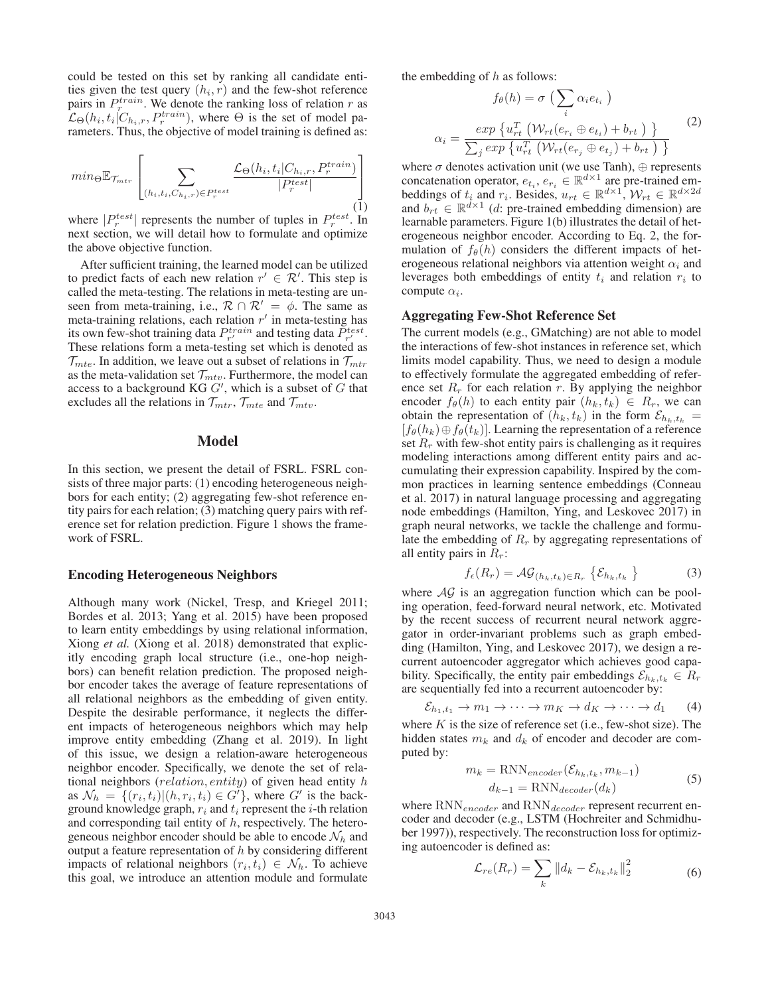could be tested on this set by ranking all candidate entities given the test query  $(h_i, r)$  and the few-shot reference pairs in  $P_r^{train}$ . We denote the ranking loss of relation r as  $\mathcal{L}_{\Theta}(h_i, t_i | C_{h_i,r}, P_r^{train})$ , where  $\Theta$  is the set of model parameters. Thus, the objective of model training is defined as:

$$
min_{\Theta} \mathbb{E}_{\mathcal{T}_{mtr}}\left[\sum_{(h_i, t_i, C_{h_i,r}) \in P_r^{test}} \frac{\mathcal{L}_{\Theta}(h_i, t_i | C_{h_i,r}, P_r^{train})}{|P_r^{test}|}\right]
$$
(1)

where  $|P_r^{test}|$  represents the number of tuples in  $P_r^{test}$ . In next section, we will detail how to formulate and optimize the above objective function.

After sufficient training, the learned model can be utilized to predict facts of each new relation  $r' \in \mathcal{R}'$ . This step is called the meta-testing. The relations in meta-testing are unseen from meta-training, i.e.,  $\mathcal{R} \cap \mathcal{R}' = \phi$ . The same as meta-training relations, each relation  $r'$  in meta-testing has its own few-shot training data  $P_{r'}^{train}$  and testing data  $\tilde{P}_{r'}^{test}$ . These relations form a meta-testing set which is denoted as  $\mathcal{T}_{\text{mte}}$ . In addition, we leave out a subset of relations in  $\mathcal{T}_{\text{mtr}}$ as the meta-validation set  $\mathcal{T}_{mtv}$ . Furthermore, the model can access to a background  $KG G'$ , which is a subset of  $G$  that excludes all the relations in  $\mathcal{T}_{mtr}, \mathcal{T}_{mte}$  and  $\mathcal{T}_{mtv}$ .

### Model

In this section, we present the detail of FSRL. FSRL consists of three major parts: (1) encoding heterogeneous neighbors for each entity; (2) aggregating few-shot reference entity pairs for each relation; (3) matching query pairs with reference set for relation prediction. Figure 1 shows the framework of FSRL.

#### Encoding Heterogeneous Neighbors

Although many work (Nickel, Tresp, and Kriegel 2011; Bordes et al. 2013; Yang et al. 2015) have been proposed to learn entity embeddings by using relational information, Xiong *et al.* (Xiong et al. 2018) demonstrated that explicitly encoding graph local structure (i.e., one-hop neighbors) can benefit relation prediction. The proposed neighbor encoder takes the average of feature representations of all relational neighbors as the embedding of given entity. Despite the desirable performance, it neglects the different impacts of heterogeneous neighbors which may help improve entity embedding (Zhang et al. 2019). In light of this issue, we design a relation-aware heterogeneous neighbor encoder. Specifically, we denote the set of relational neighbors (*relation*, *entity*) of given head entity  $h$ as  $\mathcal{N}_h = \{(r_i, t_i) | (h, r_i, t_i) \in G'\}$ , where G' is the background knowledge graph,  $r_i$  and  $t_i$  represent the *i*-th relation and corresponding tail entity of  $h$ , respectively. The heterogeneous neighbor encoder should be able to encode  $\mathcal{N}_h$  and output a feature representation of  $h$  by considering different impacts of relational neighbors  $(r_i, t_i) \in \mathcal{N}_h$ . To achieve this goal, we introduce an attention module and formulate the embedding of  $h$  as follows:

$$
f_{\theta}(h) = \sigma \left( \sum_{i} \alpha_{i} e_{t_{i}} \right)
$$

$$
\alpha_{i} = \frac{\exp \{ u_{rt}^{T} \left( \mathcal{W}_{rt}(e_{r_{i}} \oplus e_{t_{i}}) + b_{rt} \right) \}}{\sum_{j} \exp \{ u_{rt}^{T} \left( \mathcal{W}_{rt}(e_{r_{j}} \oplus e_{t_{j}}) + b_{rt} \right) \}}
$$
(2)

where  $\sigma$  denotes activation unit (we use Tanh),  $\oplus$  represents concatenation operator,  $e_{t_i}, e_{r_i} \in \mathbb{R}^{d \times 1}$  are pre-trained embeddings of  $t_i$  and  $r_i$ . Besides,  $u_{rt} \in \mathbb{R}^{d \times 1}$ ,  $\mathcal{W}_{rt} \in \mathbb{R}^{d \times 2d}$ and  $b_{rt} \in \mathbb{R}^{d \times 1}$  (d: pre-trained embedding dimension) are learnable parameters. Figure 1(b) illustrates the detail of heterogeneous neighbor encoder. According to Eq. 2, the formulation of  $f_{\theta}(h)$  considers the different impacts of heterogeneous relational neighbors via attention weight  $\alpha_i$  and leverages both embeddings of entity  $t_i$  and relation  $r_i$  to compute  $\alpha_i$ .

#### Aggregating Few-Shot Reference Set

The current models (e.g., GMatching) are not able to model the interactions of few-shot instances in reference set, which limits model capability. Thus, we need to design a module to effectively formulate the aggregated embedding of reference set  $R_r$  for each relation r. By applying the neighbor encoder  $f_{\theta}(h)$  to each entity pair  $(h_k, t_k) \in R_r$ , we can obtain the representation of  $(h_k, t_k)$  in the form  $\mathcal{E}_{h_k, t_k}$  $[f_{\theta}(h_k) \oplus f_{\theta}(t_k)]$ . Learning the representation of a reference set  $R_r$  with few-shot entity pairs is challenging as it requires modeling interactions among different entity pairs and accumulating their expression capability. Inspired by the common practices in learning sentence embeddings (Conneau et al. 2017) in natural language processing and aggregating node embeddings (Hamilton, Ying, and Leskovec 2017) in graph neural networks, we tackle the challenge and formulate the embedding of  $R_r$  by aggregating representations of all entity pairs in  $R_r$ :

$$
f_{\epsilon}(R_r) = \mathcal{AG}_{(h_k, t_k) \in R_r} \left\{ \mathcal{E}_{h_k, t_k} \right\}
$$
 (3)

where  $AG$  is an aggregation function which can be pooling operation, feed-forward neural network, etc. Motivated by the recent success of recurrent neural network aggregator in order-invariant problems such as graph embedding (Hamilton, Ying, and Leskovec 2017), we design a recurrent autoencoder aggregator which achieves good capability. Specifically, the entity pair embeddings  $\mathcal{E}_{h_k,t_k} \in R_r$ are sequentially fed into a recurrent autoencoder by:

$$
\mathcal{E}_{h_1,t_1} \to m_1 \to \cdots \to m_K \to d_K \to \cdots \to d_1 \qquad (4)
$$

where  $K$  is the size of reference set (i.e., few-shot size). The hidden states  $m_k$  and  $d_k$  of encoder and decoder are computed by:

$$
m_k = \text{RNN}_{encoder}(\mathcal{E}_{h_k, t_k}, m_{k-1})
$$
  
\n
$$
d_{k-1} = \text{RNN}_{decoder}(d_k)
$$
\n(5)

where  $RNN_{encoder}$  and  $RNN_{decoder}$  represent recurrent encoder and decoder (e.g., LSTM (Hochreiter and Schmidhuber 1997)), respectively. The reconstruction loss for optimizing autoencoder is defined as:

$$
\mathcal{L}_{re}(R_r) = \sum_{k} ||d_k - \mathcal{E}_{h_k, t_k}||_2^2
$$
 (6)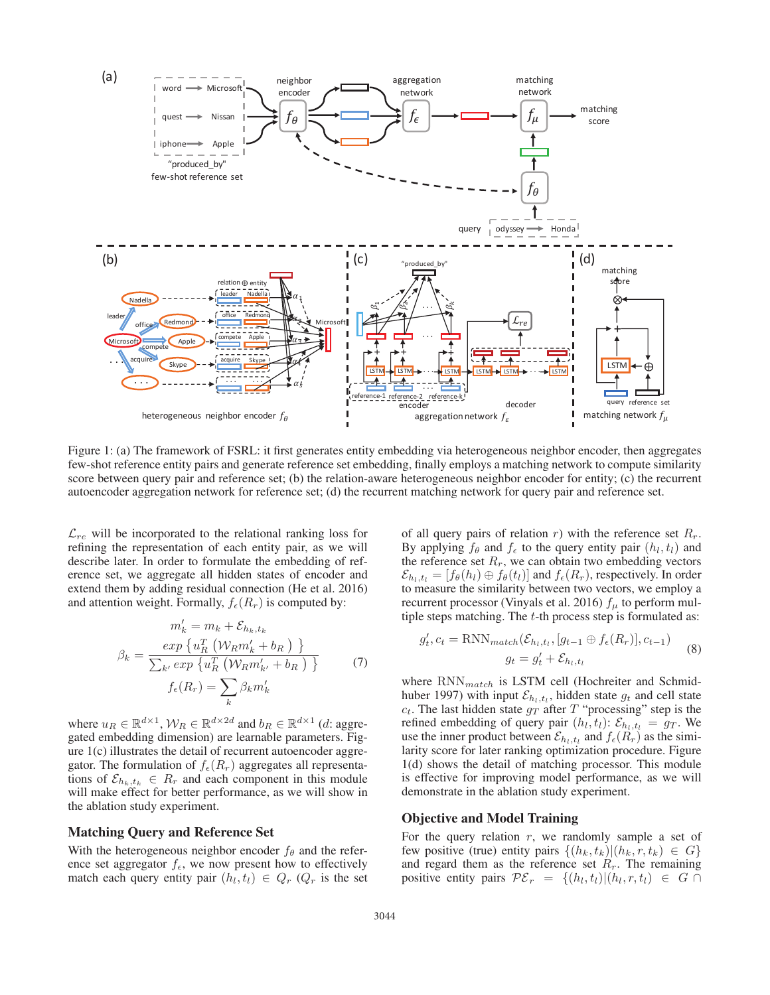

Figure 1: (a) The framework of FSRL: it first generates entity embedding via heterogeneous neighbor encoder, then aggregates few-shot reference entity pairs and generate reference set embedding, finally employs a matching network to compute similarity score between query pair and reference set; (b) the relation-aware heterogeneous neighbor encoder for entity; (c) the recurrent autoencoder aggregation network for reference set; (d) the recurrent matching network for query pair and reference set.

 $\mathcal{L}_{re}$  will be incorporated to the relational ranking loss for refining the representation of each entity pair, as we will describe later. In order to formulate the embedding of reference set, we aggregate all hidden states of encoder and extend them by adding residual connection (He et al. 2016) and attention weight. Formally,  $f_{\epsilon}(R_r)$  is computed by:

$$
m'_{k} = m_{k} + \mathcal{E}_{h_{k}, t_{k}}
$$

$$
\beta_{k} = \frac{\exp\left\{u_{R}^{T}\left(\mathcal{W}_{R}m'_{k} + b_{R}\right)\right\}}{\sum_{k'} \exp\left\{u_{R}^{T}\left(\mathcal{W}_{R}m'_{k'} + b_{R}\right)\right\}}
$$
(7)
$$
f_{\epsilon}(R_{r}) = \sum_{k} \beta_{k}m'_{k}
$$

where  $u_R \in \mathbb{R}^{d \times 1}$ ,  $\mathcal{W}_R \in \mathbb{R}^{d \times 2d}$  and  $b_R \in \mathbb{R}^{d \times 1}$  (*d*: aggregated embedding dimension) are learnable parameters. Figure 1(c) illustrates the detail of recurrent autoencoder aggregator. The formulation of  $f_{\epsilon}(R_r)$  aggregates all representations of  $\mathcal{E}_{h_k,t_k} \in R_r$  and each component in this module will make effect for better performance, as we will show in the ablation study experiment.

#### Matching Query and Reference Set

With the heterogeneous neighbor encoder  $f_{\theta}$  and the reference set aggregator  $f_{\epsilon}$ , we now present how to effectively match each query entity pair  $(h_l, t_l) \in Q_r$  ( $Q_r$  is the set of all query pairs of relation r) with the reference set  $R_r$ . By applying  $f_\theta$  and  $f_\epsilon$  to the query entity pair  $(h_l, t_l)$  and the reference set  $R_r$ , we can obtain two embedding vectors  $\mathcal{E}_{h_l,t_l} = [f_\theta(h_l) \oplus f_\theta(t_l)]$  and  $f_\epsilon(R_r)$ , respectively. In order to measure the similarity between two vectors, we employ a recurrent processor (Vinyals et al. 2016)  $f_{\mu}$  to perform multiple steps matching. The  $t$ -th process step is formulated as:

$$
g'_t, c_t = \text{RNN}_{match}(\mathcal{E}_{h_l, t_l}, [g_{t-1} \oplus f_{\epsilon}(R_r)], c_{t-1})
$$
  

$$
g_t = g'_t + \mathcal{E}_{h_l, t_l}
$$
 (8)

where  $RNN_{match}$  is LSTM cell (Hochreiter and Schmidhuber 1997) with input  $\mathcal{E}_{h_l,t_l}$ , hidden state  $g_t$  and cell state  $c_t$ . The last hidden state  $g_T$  after T "processing" step is the refined embedding of query pair  $(h_l, t_l)$ :  $\mathcal{E}_{h_l, t_l} = g_T$ . We use the inner product between  $\mathcal{E}_{h_l,t_l}$  and  $f_{\epsilon}(R_r)$  as the similarity score for later ranking optimization procedure. Figure 1(d) shows the detail of matching processor. This module is effective for improving model performance, as we will demonstrate in the ablation study experiment.

#### Objective and Model Training

For the query relation  $r$ , we randomly sample a set of few positive (true) entity pairs  $\{(h_k, t_k)| (h_k, r, t_k) \in G\}$ and regard them as the reference set  $R_r$ . The remaining positive entity pairs  $\mathcal{PE}_r = \{(h_l, t_l)| (h_l, r, t_l) \in G \cap$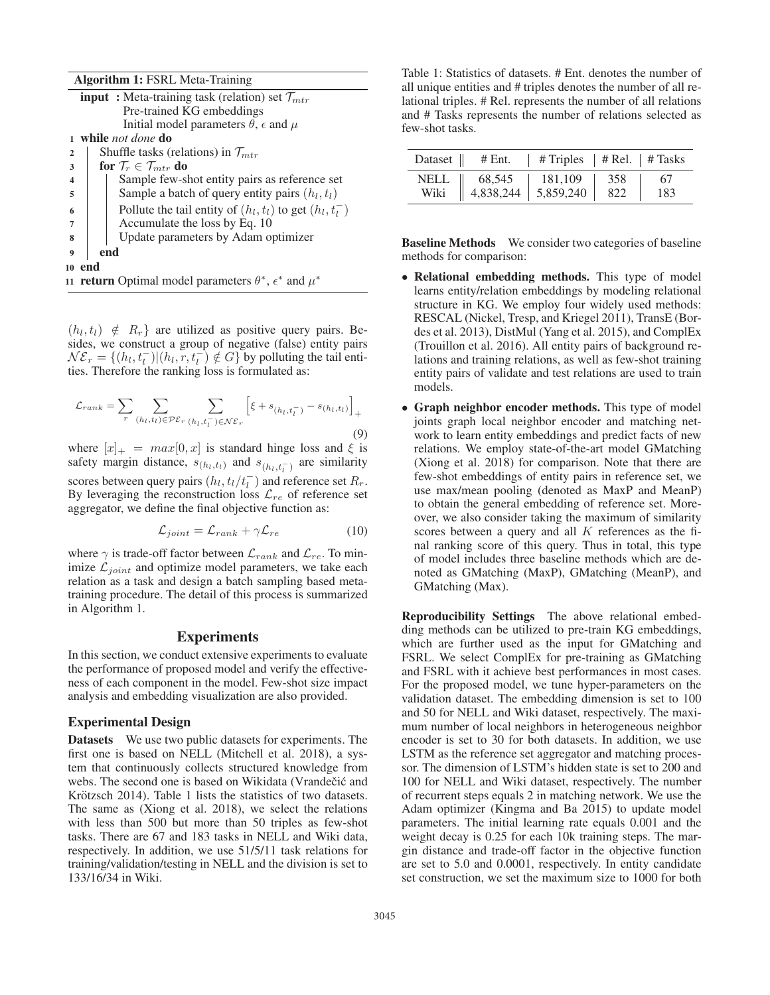Algorithm 1: FSRL Meta-Training

|                  | <b>input</b> : Meta-training task (relation) set $\mathcal{T}_{mtr}$            |  |  |  |  |  |
|------------------|---------------------------------------------------------------------------------|--|--|--|--|--|
|                  | Pre-trained KG embeddings                                                       |  |  |  |  |  |
|                  | Initial model parameters $\theta$ , $\epsilon$ and $\mu$                        |  |  |  |  |  |
| $\mathbf{1}$     | while <i>not done</i> do                                                        |  |  |  |  |  |
| $\overline{2}$   | Shuffle tasks (relations) in $\mathcal{T}_{mtr}$                                |  |  |  |  |  |
| 3                | for $\mathcal{T}_r \in \mathcal{T}_{mtr}$ do                                    |  |  |  |  |  |
| 4                | Sample few-shot entity pairs as reference set                                   |  |  |  |  |  |
| 5                | Sample a batch of query entity pairs $(h_l, t_l)$                               |  |  |  |  |  |
| 6                | Pollute the tail entity of $(h_l, t_l)$ to get $(h_l, t_l^-)$                   |  |  |  |  |  |
| $\overline{7}$   | Accumulate the loss by Eq. 10                                                   |  |  |  |  |  |
| 8                | Update parameters by Adam optimizer                                             |  |  |  |  |  |
| $\boldsymbol{Q}$ | end                                                                             |  |  |  |  |  |
|                  | 10 end                                                                          |  |  |  |  |  |
|                  | 11 <b>return</b> Optimal model parameters $\theta^*$ , $\epsilon^*$ and $\mu^*$ |  |  |  |  |  |

 $(h_l, t_l) \notin R_r$  are utilized as positive query pairs. Besides, we construct a group of negative (false) entity pairs  $\mathcal{NE}_r = \{(h_l, t_l^-) | (h_l, r, t_l^-) \notin G \}$  by polluting the tail entities. Therefore the ranking loss is formulated as:

$$
\mathcal{L}_{rank} = \sum_{r} \sum_{(h_l, t_l) \in \mathcal{PE}_r} \sum_{(h_l, t_l^-) \in \mathcal{NE}_r} \left[ \xi + s_{(h_l, t_l^-)} - s_{(h_l, t_l)} \right]_+ \tag{9}
$$

where  $[x]_+ = max[0, x]$  is standard hinge loss and  $\xi$  is safety margin distance,  $s_{(h_l,t_l)}$  and  $s_{(h_l,t_l^-)}$  are similarity scores between query pairs  $(h_l, t_l/t_l^-)$  and reference set  $R_r$ . By leveraging the reconstruction loss  $\mathcal{L}_{re}$  of reference set aggregator, we define the final objective function as:

$$
\mathcal{L}_{joint} = \mathcal{L}_{rank} + \gamma \mathcal{L}_{re}
$$
 (10)

where  $\gamma$  is trade-off factor between  $\mathcal{L}_{rank}$  and  $\mathcal{L}_{re}$ . To minimize  $\mathcal{L}_{joint}$  and optimize model parameters, we take each relation as a task and design a batch sampling based metatraining procedure. The detail of this process is summarized in Algorithm 1.

#### **Experiments**

In this section, we conduct extensive experiments to evaluate the performance of proposed model and verify the effectiveness of each component in the model. Few-shot size impact analysis and embedding visualization are also provided.

#### Experimental Design

Datasets We use two public datasets for experiments. The first one is based on NELL (Mitchell et al. 2018), a system that continuously collects structured knowledge from webs. The second one is based on Wikidata (Vrandečić and Krötzsch 2014). Table 1 lists the statistics of two datasets. The same as (Xiong et al. 2018), we select the relations with less than 500 but more than 50 triples as few-shot tasks. There are 67 and 183 tasks in NELL and Wiki data, respectively. In addition, we use 51/5/11 task relations for training/validation/testing in NELL and the division is set to 133/16/34 in Wiki.

Table 1: Statistics of datasets. # Ent. denotes the number of all unique entities and # triples denotes the number of all relational triples. # Rel. represents the number of all relations and # Tasks represents the number of relations selected as few-shot tasks.

| Dataset $\parallel$ | # Ent.                  | # Triples $ $ # Rel. $ $ # Tasks |     |     |
|---------------------|-------------------------|----------------------------------|-----|-----|
| NELL                | 68,545                  | 181,109                          | 358 | 67  |
| Wiki                | $4,838,244$   5,859,240 |                                  | 822 | 183 |

Baseline Methods We consider two categories of baseline methods for comparison:

- Relational embedding methods. This type of model learns entity/relation embeddings by modeling relational structure in KG. We employ four widely used methods: RESCAL (Nickel, Tresp, and Kriegel 2011), TransE (Bordes et al. 2013), DistMul (Yang et al. 2015), and ComplEx (Trouillon et al. 2016). All entity pairs of background relations and training relations, as well as few-shot training entity pairs of validate and test relations are used to train models.
- Graph neighbor encoder methods. This type of model joints graph local neighbor encoder and matching network to learn entity embeddings and predict facts of new relations. We employ state-of-the-art model GMatching (Xiong et al. 2018) for comparison. Note that there are few-shot embeddings of entity pairs in reference set, we use max/mean pooling (denoted as MaxP and MeanP) to obtain the general embedding of reference set. Moreover, we also consider taking the maximum of similarity scores between a query and all  $K$  references as the final ranking score of this query. Thus in total, this type of model includes three baseline methods which are denoted as GMatching (MaxP), GMatching (MeanP), and GMatching (Max).

Reproducibility Settings The above relational embedding methods can be utilized to pre-train KG embeddings, which are further used as the input for GMatching and FSRL. We select ComplEx for pre-training as GMatching and FSRL with it achieve best performances in most cases. For the proposed model, we tune hyper-parameters on the validation dataset. The embedding dimension is set to 100 and 50 for NELL and Wiki dataset, respectively. The maximum number of local neighbors in heterogeneous neighbor encoder is set to 30 for both datasets. In addition, we use LSTM as the reference set aggregator and matching processor. The dimension of LSTM's hidden state is set to 200 and 100 for NELL and Wiki dataset, respectively. The number of recurrent steps equals 2 in matching network. We use the Adam optimizer (Kingma and Ba 2015) to update model parameters. The initial learning rate equals 0.001 and the weight decay is 0.25 for each 10k training steps. The margin distance and trade-off factor in the objective function are set to 5.0 and 0.0001, respectively. In entity candidate set construction, we set the maximum size to 1000 for both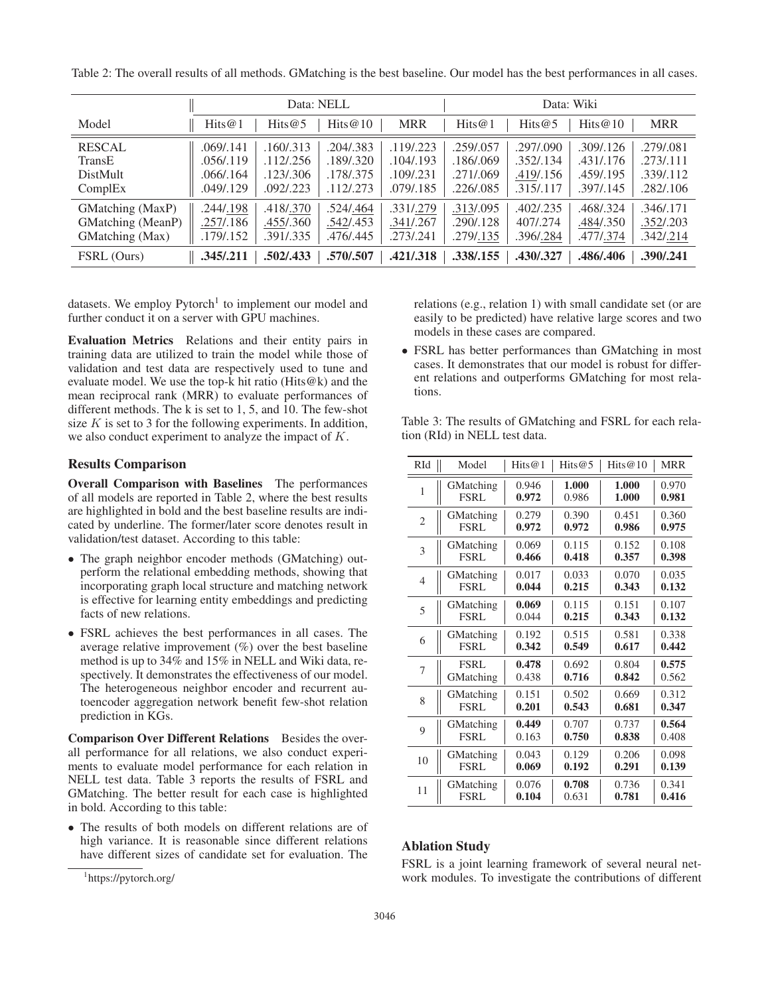|                   | Data: NELL |            |            | Data: Wiki |           |            |            |            |
|-------------------|------------|------------|------------|------------|-----------|------------|------------|------------|
| Model             | Hits $@1$  | Hits $@5$  | Hits $@10$ | <b>MRR</b> | Hits $@1$ | Hits@5     | Hits $@10$ | <b>MRR</b> |
| <b>RESCAL</b>     | .069/.141  | .160/.313  | .204/.383  | .119/.223  | .259/.057 | .297/0.090 | .309/0.126 | .279/.081  |
| TransE            | .056/.119  | .112/0.256 | .189/.320  | .104/.193  | .186/.069 | .352/.134  | .431/.176  | .273/.111  |
| DistMult          | .066/.164  | .123/0.306 | .178/.375  | .109/.231  | .271/.069 | .419/.156  | .459/.195  | .339/.112  |
| ComplEx           | .049/.129  | .092/.223  | .112/.273  | .079/.185  | .226/.085 | .315/.117  | .397/.145  | .282/.106  |
| GMatching (MaxP)  | .244/.198  | .418/.370  | .524/.464  | .331/.279  | .313/.095 | .402/.235  | .468/.324  | .346/.171  |
| GMatching (MeanP) | .257/.186  | .455/.360  | .542/.453  | .341/.267  | .290/.128 | 407/.274   | .484/.350  | .352/.203  |
| GMatching (Max)   | .179/.152  | .391/.335  | .476/.445  | .273/.241  | .279/.135 | .396/.284  | .477/.374  | .342/.214  |
| FSRL (Ours)       | .345/.211  | .502/.433  | .570/.507  | .421/.318  | .338/.155 | .430/.327  | .486/.406  | .390/.241  |

Table 2: The overall results of all methods. GMatching is the best baseline. Our model has the best performances in all cases.

datasets. We employ  $P$ ytorch<sup>1</sup> to implement our model and further conduct it on a server with GPU machines.

Evaluation Metrics Relations and their entity pairs in training data are utilized to train the model while those of validation and test data are respectively used to tune and evaluate model. We use the top-k hit ratio (Hits@k) and the mean reciprocal rank (MRR) to evaluate performances of different methods. The k is set to 1, 5, and 10. The few-shot size  $K$  is set to 3 for the following experiments. In addition, we also conduct experiment to analyze the impact of K.

# Results Comparison

Overall Comparison with Baselines The performances of all models are reported in Table 2, where the best results are highlighted in bold and the best baseline results are indicated by underline. The former/later score denotes result in validation/test dataset. According to this table:

- The graph neighbor encoder methods (GMatching) outperform the relational embedding methods, showing that incorporating graph local structure and matching network is effective for learning entity embeddings and predicting facts of new relations.
- FSRL achieves the best performances in all cases. The average relative improvement  $(\%)$  over the best baseline method is up to 34% and 15% in NELL and Wiki data, respectively. It demonstrates the effectiveness of our model. The heterogeneous neighbor encoder and recurrent autoencoder aggregation network benefit few-shot relation prediction in KGs.

Comparison Over Different Relations Besides the overall performance for all relations, we also conduct experiments to evaluate model performance for each relation in NELL test data. Table 3 reports the results of FSRL and GMatching. The better result for each case is highlighted in bold. According to this table:

• The results of both models on different relations are of high variance. It is reasonable since different relations have different sizes of candidate set for evaluation. The relations (e.g., relation 1) with small candidate set (or are easily to be predicted) have relative large scores and two models in these cases are compared.

• FSRL has better performances than GMatching in most cases. It demonstrates that our model is robust for different relations and outperforms GMatching for most relations.

Table 3: The results of GMatching and FSRL for each relation (RId) in NELL test data.

| RId            | Model            | Hits $@1$ | Hits@5 | Hits@10 | <b>MRR</b> |
|----------------|------------------|-----------|--------|---------|------------|
| 1              | GMatching        | 0.946     | 1.000  | 1.000   | 0.970      |
|                | <b>FSRL</b>      | 0.972     | 0.986  | 1.000   | 0.981      |
| $\mathfrak{2}$ | GMatching        | 0.279     | 0.390  | 0.451   | 0.360      |
|                | <b>FSRL</b>      | 0.972     | 0.972  | 0.986   | 0.975      |
| 3              | GMatching        | 0.069     | 0.115  | 0.152   | 0.108      |
|                | <b>FSRL</b>      | 0.466     | 0.418  | 0.357   | 0.398      |
| $\overline{4}$ | GMatching        | 0.017     | 0.033  | 0.070   | 0.035      |
|                | <b>FSRL</b>      | 0.044     | 0.215  | 0.343   | 0.132      |
| 5              | <b>GMatching</b> | 0.069     | 0.115  | 0.151   | 0.107      |
|                | <b>FSRL</b>      | 0.044     | 0.215  | 0.343   | 0.132      |
| 6              | GMatching        | 0.192     | 0.515  | 0.581   | 0.338      |
|                | <b>FSRL</b>      | 0.342     | 0.549  | 0.617   | 0.442      |
| $\overline{7}$ | <b>FSRL</b>      | 0.478     | 0.692  | 0.804   | 0.575      |
|                | GMatching        | 0.438     | 0.716  | 0.842   | 0.562      |
| 8              | GMatching        | 0.151     | 0.502  | 0.669   | 0.312      |
|                | <b>FSRL</b>      | 0.201     | 0.543  | 0.681   | 0.347      |
| 9              | GMatching        | 0.449     | 0.707  | 0.737   | 0.564      |
|                | <b>FSRL</b>      | 0.163     | 0.750  | 0.838   | 0.408      |
| 10             | GMatching        | 0.043     | 0.129  | 0.206   | 0.098      |
|                | <b>FSRL</b>      | 0.069     | 0.192  | 0.291   | 0.139      |
| 11             | GMatching        | 0.076     | 0.708  | 0.736   | 0.341      |
|                | <b>FSRL</b>      | 0.104     | 0.631  | 0.781   | 0.416      |

# Ablation Study

FSRL is a joint learning framework of several neural network modules. To investigate the contributions of different

<sup>1</sup> https://pytorch.org/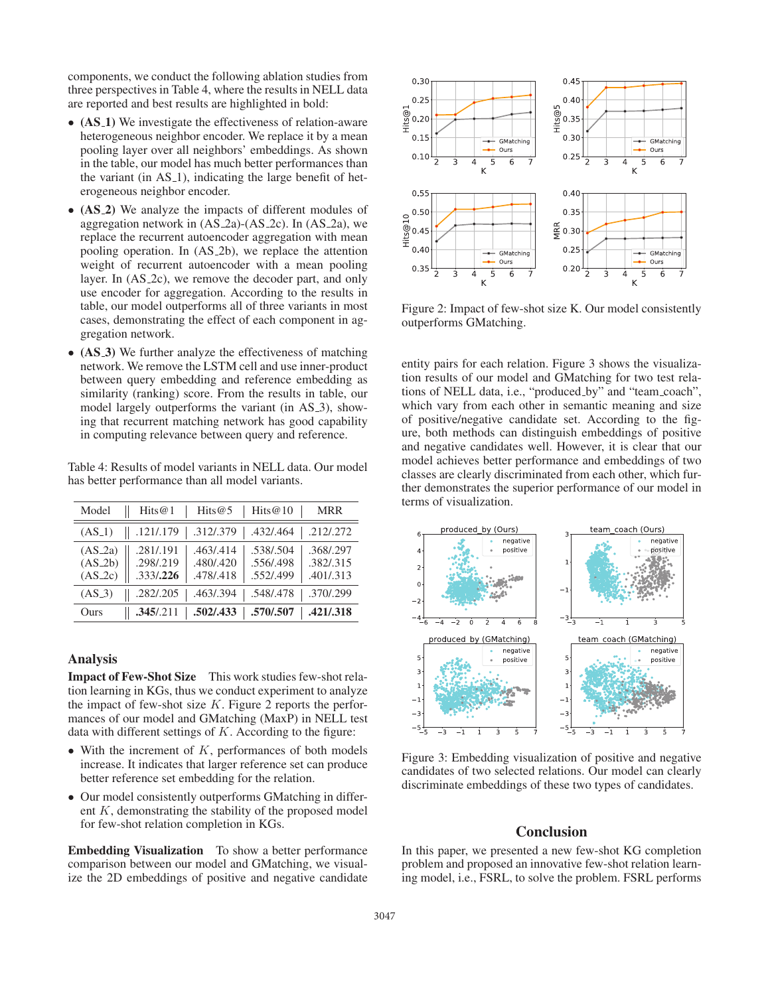components, we conduct the following ablation studies from three perspectives in Table 4, where the results in NELL data are reported and best results are highlighted in bold:

- (AS\_1) We investigate the effectiveness of relation-aware heterogeneous neighbor encoder. We replace it by a mean pooling layer over all neighbors' embeddings. As shown in the table, our model has much better performances than the variant (in  $AS_1$ ), indicating the large benefit of heterogeneous neighbor encoder.
- (AS\_2) We analyze the impacts of different modules of aggregation network in  $(AS_2a)-(AS_2c)$ . In  $(AS_2a)$ , we replace the recurrent autoencoder aggregation with mean pooling operation. In (AS 2b), we replace the attention weight of recurrent autoencoder with a mean pooling layer. In (AS 2c), we remove the decoder part, and only use encoder for aggregation. According to the results in table, our model outperforms all of three variants in most cases, demonstrating the effect of each component in aggregation network.
- (AS.3) We further analyze the effectiveness of matching network. We remove the LSTM cell and use inner-product between query embedding and reference embedding as similarity (ranking) score. From the results in table, our model largely outperforms the variant (in AS<sub>-3</sub>), showing that recurrent matching network has good capability in computing relevance between query and reference.

Table 4: Results of model variants in NELL data. Our model has better performance than all model variants.

| Model                               | Hits $@1$<br>Hits@5                                                        | Hits $@10$<br><b>MRR</b>                                                   |
|-------------------------------------|----------------------------------------------------------------------------|----------------------------------------------------------------------------|
| $(AS_1)$                            | .312/.379<br>.121/.179                                                     | .212/.272<br>.432/.464                                                     |
| $(AS_2a)$<br>$(AS_2b)$<br>$(AS_2c)$ | .281/.191<br>.463/.414<br>.298/.219<br>.480/.420<br>.333/.226<br>.478/.418 | .368/.297<br>.538/.504<br>.382/.315<br>.556/.498<br>.552/.499<br>.401/.313 |
| $(AS_3)$                            | .282/.205<br>.463/.394                                                     | .370/.299<br>.548/.478                                                     |
| Ours                                | .502/0.433<br>.345/.211                                                    | .570/.507<br>.421/.318                                                     |

## Analysis

Impact of Few-Shot Size This work studies few-shot relation learning in KGs, thus we conduct experiment to analyze the impact of few-shot size  $K$ . Figure 2 reports the performances of our model and GMatching (MaxP) in NELL test data with different settings of  $K$ . According to the figure:

- With the increment of  $K$ , performances of both models increase. It indicates that larger reference set can produce better reference set embedding for the relation.
- Our model consistently outperforms GMatching in different  $K$ , demonstrating the stability of the proposed model for few-shot relation completion in KGs.

Embedding Visualization To show a better performance comparison between our model and GMatching, we visualize the 2D embeddings of positive and negative candidate



Figure 2: Impact of few-shot size K. Our model consistently outperforms GMatching.

entity pairs for each relation. Figure 3 shows the visualization results of our model and GMatching for two test relations of NELL data, i.e., "produced\_by" and "team\_coach", which vary from each other in semantic meaning and size of positive/negative candidate set. According to the figure, both methods can distinguish embeddings of positive and negative candidates well. However, it is clear that our model achieves better performance and embeddings of two classes are clearly discriminated from each other, which further demonstrates the superior performance of our model in terms of visualization.



Figure 3: Embedding visualization of positive and negative candidates of two selected relations. Our model can clearly discriminate embeddings of these two types of candidates.

# **Conclusion**

In this paper, we presented a new few-shot KG completion problem and proposed an innovative few-shot relation learning model, i.e., FSRL, to solve the problem. FSRL performs